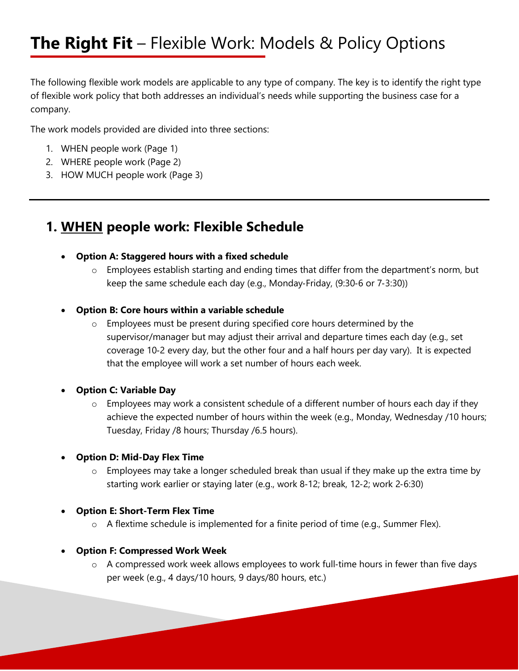# **The Right Fit** – Flexible Work: Models & Policy Options

The following flexible work models are applicable to any type of company. The key is to identify the right type of flexible work policy that both addresses an individual's needs while supporting the business case for a company.

The work models provided are divided into three sections:

- 1. WHEN people work (Page 1)
- 2. WHERE people work (Page 2)
- 3. HOW MUCH people work (Page 3)

## **1. WHEN people work: Flexible Schedule**

#### **Option A: Staggered hours with a fixed schedule**

o Employees establish starting and ending times that differ from the department's norm, but keep the same schedule each day (e.g., Monday‐Friday, (9:30‐6 or 7‐3:30))

#### **Option B: Core hours within a variable schedule**

 $\circ$  Employees must be present during specified core hours determined by the supervisor/manager but may adjust their arrival and departure times each day (e.g., set coverage 10‐2 every day, but the other four and a half hours per day vary). It is expected that the employee will work a set number of hours each week.

#### **Option C: Variable Day**

- o Employees may work a consistent schedule of a different number of hours each day if they achieve the expected number of hours within the week (e.g., Monday, Wednesday /10 hours; Tuesday, Friday /8 hours; Thursday /6.5 hours).
- **Option D: Mid-Day Flex Time**
	- o Employees may take a longer scheduled break than usual if they make up the extra time by starting work earlier or staying later (e.g., work 8‐12; break, 12‐2; work 2‐6:30)
- **Option E: Short-Term Flex Time** 
	- o A flextime schedule is implemented for a finite period of time (e.g., Summer Flex).
- **Option F: Compressed Work Week**
	- o A compressed work week allows employees to work full‐time hours in fewer than five days per week (e.g., 4 days/10 hours, 9 days/80 hours, etc.)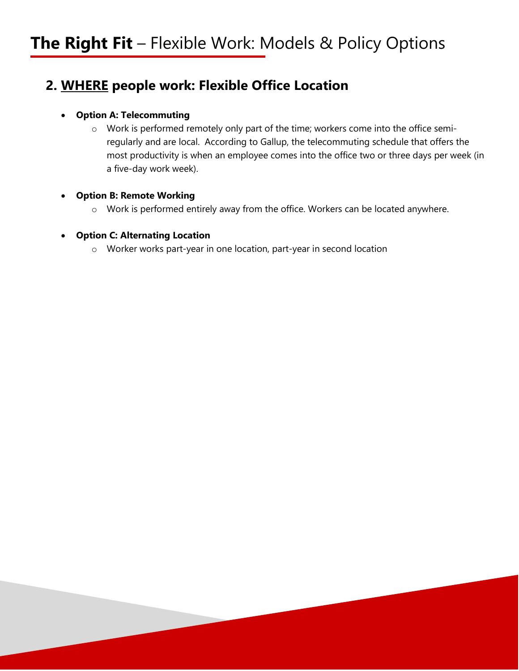## **2. WHERE people work: Flexible Office Location**

### **Option A: Telecommuting**

o Work is performed remotely only part of the time; workers come into the office semiregularly and are local. According to Gallup, the telecommuting schedule that offers the most productivity is when an employee comes into the office two or three days per week (in a five-day work week).

### **Option B: Remote Working**

o Work is performed entirely away from the office. Workers can be located anywhere.

### **Option C: Alternating Location**

o Worker works part-year in one location, part-year in second location